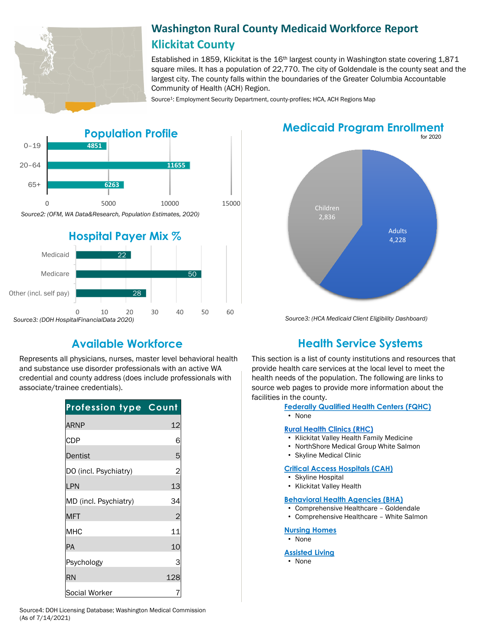

# **Washington Rural County Medicaid Workforce Report Klickitat County**

Established in 1859, Klickitat is the 16<sup>th</sup> largest county in Washington state covering 1,871 square miles. It has a population of 22,770. The city of Goldendale is the county seat and the largest city. The county falls within the boundaries of the Greater Columbia Accountable Community of Health (ACH) Region.

Source<sup>1</sup>: Employment Security Department, county-profiles; HCA, ACH Regions Map



Represents all physicians, nurses, master level behavioral health and substance use disorder professionals with an active WA credential and county address (does include professionals with associate/trainee credentials).

| <b>Profession type Count</b> |                |
|------------------------------|----------------|
| <b>ARNP</b>                  | 12             |
| <b>CDP</b>                   | 6              |
| Dentist                      | 5              |
| DO (incl. Psychiatry)        | $\overline{a}$ |
| LPN                          | 13             |
| MD (incl. Psychiatry)        | 34             |
| <b>MFT</b>                   | $\overline{c}$ |
| MHC                          | 11             |
| PA                           | 10             |
| Psychology                   | 3              |
| <b>RN</b>                    | 128            |
| Social Worker                |                |

**Medicaid Program Enrollment**



*Source3: (HCA Medicaid Client Eligibility Dashboard)*

# **Available Workforce Health Service Systems**

This section is a list of county institutions and resources that provide health care services at the local level to meet the health needs of the population. The following are links to source web pages to provide more information about the facilities in the county.

**[Federally Qualified Health Centers \(FQHC\)](https://www.doh.wa.gov/ForPublicHealthandHealthcareProviders/RuralHealth/PrimaryCareOffice)**

• None

#### **[Rural Health Clinics \(RHC\)](https://www.doh.wa.gov/ForPublicHealthandHealthcareProviders/RuralHealth/RuralHealthSystems)**

- Klickitat Valley Health Family Medicine
- NorthShore Medical Group White Salmon
- Skyline Medical Clinic

### **[Critical Access Hospitals \(CAH\)](https://www.doh.wa.gov/ForPublicHealthandHealthcareProviders/RuralHealth/RuralHealthSystems)**

- Skyline Hospital
- Klickitat Valley Health

#### **[Behavioral Health Agencies \(BHA\)](https://www.doh.wa.gov/LicensesPermitsandCertificates/ProviderCredentialSearch)**

- Comprehensive Healthcare Goldendale
- Comprehensive Healthcare White Salmon

### **[Nursing Homes](https://fortress.wa.gov/dshs/adsaapps/lookup/NHPubLookup.aspx)**

• None

#### **[Assisted Living](https://fortress.wa.gov/dshs/adsaapps/lookup/BHPubLookup.aspx)**

• None